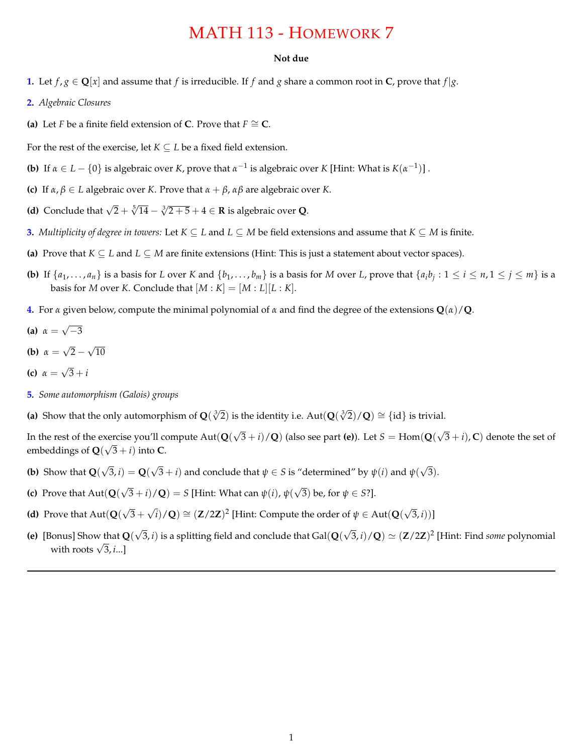## MATH 113 - HOMEWORK 7

## **Not due**

- **1.** Let  $f$ ,  $g \in \mathbb{Q}[x]$  and assume that  $f$  is irreducible. If  $f$  and  $g$  share a common root in  $\mathbb{C}$ , prove that  $f|g$ .
- **2.** *Algebraic Closures*
- **(a)** Let *F* be a finite field extension of **C**. Prove that  $F \cong \mathbb{C}$ .

For the rest of the exercise, let  $K \subseteq L$  be a fixed field extension.

- **(b)** If  $\alpha \in L \{0\}$  is algebraic over *K*, prove that  $\alpha^{-1}$  is algebraic over *K* [Hint: What is  $K(\alpha^{-1})$ ].
- **(c)** If  $\alpha, \beta \in L$  algebraic over *K*. Prove that  $\alpha + \beta, \alpha\beta$  are algebraic over *K*.
- **(d)** Conclude that  $\sqrt{2} + \sqrt[5]{14} \sqrt[3]{2+5} + 4 \in \mathbb{R}$  is algebraic over **Q**.
- **3.** *Multiplicity of degree in towers:* Let  $K \subseteq L$  and  $L \subseteq M$  be field extensions and assume that  $K \subseteq M$  is finite.
- (a) Prove that  $K \subseteq L$  and  $L \subseteq M$  are finite extensions (Hint: This is just a statement about vector spaces).
- **(b)** If  $\{a_1, \ldots, a_n\}$  is a basis for L over K and  $\{b_1, \ldots, b_m\}$  is a basis for M over L, prove that  $\{a_i b_i : 1 \le i \le n, 1 \le j \le m\}$  is a basis for *M* over *K*. Conclude that  $[M : K] = [M : L][L : K]$ .
- **4.** For *a* given below, compute the minimal polynomial of *a* and find the degree of the extensions  $\mathbf{Q}(a)/\mathbf{Q}$ .
- **(a)**  $\alpha = \sqrt{-3}$
- **(b)**  $\alpha = \sqrt{2} \sqrt{10}$
- **(c)**  $\alpha = \sqrt{3} + i$
- **5***. Some automorphism (Galois) groups*
- (a) Show that the only automorphism of  $Q(\sqrt[3]{2})$  is the identity i.e.  $Aut(Q(\sqrt[3]{2})/Q) \cong \{id\}$  is trivial.

In the rest of the exercise you'll compute  $Aut(Q(\sqrt{3}+i)/Q)$  (also see part (e)). Let  $S = Hom(Q(\sqrt{3}+i), C)$  denote the set of embeddings of  $Q(\sqrt{3} + i)$  into **C**.

- **(b)** Show that  $\mathbf{Q}(\sqrt{3}, i) = \mathbf{Q}(\sqrt{3} + i)$  and conclude that  $\psi \in S$  is "determined" by  $\psi(i)$  and  $\psi(\sqrt{3})$ .
- **(c)** Prove that  $\text{Aut}(\mathbf{Q}(\sqrt{3} + i)/\mathbf{Q}) = S$  [Hint: What can  $\psi(i)$ ,  $\psi(\sqrt{3})$  be, for  $\psi \in S$ ?].
- **(d)** Prove that  $Aut(Q(\sqrt{3} + \sqrt{i})/Q) \cong (Z/2Z)^2$  [Hint: Compute the order of  $\psi \in Aut(Q(\sqrt{3}, i))$ ]
- **(e)** [Bonus] Show that  $Q(\sqrt{3}, i)$  is a splitting field and conclude that Gal $(Q(\sqrt{3}, i)/Q) \simeq (Z/2Z)^2$  [Hint: Find *some* polynomial with roots  $\sqrt{3}$ , *i*...]